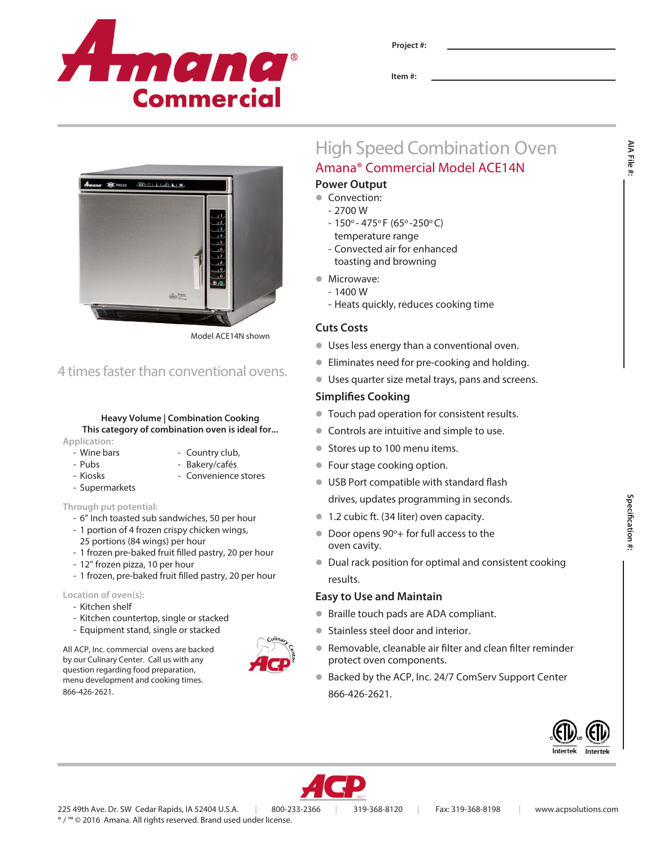

**Project #:**

**Item #:**

# High Speed Combination Oven Amana® Commercial Model ACE14N

# **Power Output**

- Convection:
	- 2700 W
	- $-150^{\circ} 475^{\circ}$  F (65° -250°C) temperature range
	- Convected air for enhanced toasting and browning
- Microwave:
	- $-1400 W$
	- Heats quickly, reduces cooking time

# **Cuts Costs**

- **ID Uses less energy than a conventional oven.**
- **•** Eliminates need for pre-cooking and holding.
- l Uses quarter size metal trays, pans and screens.

# **Simplifies Cooking**

- $\bullet$  Touch pad operation for consistent results.
- Controls are intuitive and simple to use.
- Stores up to 100 menu items.
- **Four stage cooking option.**
- **IDED** USB Port compatible with standard flash drives, updates programming in seconds.
- Door opens 90°+ for full access to the oven cavity.
- Dual rack position for optimal and consistent cooking results.

# **Easy to Use and Maintain**

- Braille touch pads are ADA compliant.
- **Stainless steel door and interior.**
- **Removable, cleanable air filter and clean filter reminder** protect oven components.
- Backed by the ACP, Inc. 24/7 ComServ Support Center 866-426-2621.





- 
- 
- 
- 
- **1.2 cubic ft. (34 liter) oven capacity.**
- 
- 

- 
- 
- 
- 



**AIA File #:**

AIA File

Model ACE14N shown

# 4 times faster than conventional ovens.

 $\bigoplus_{n=1}^{\infty}$ 

# **Heavy Volume | Combination Cooking This category of combination oven is ideal for...**

**Application:**

- Wine bars Country club,
- Pubs Bakery/cafés
- Kiosks Convenience stores

# **Through put potential:**

- Supermarkets

- 6" Inch toasted sub sandwiches, 50 per hour
- 1 portion of 4 frozen crispy chicken wings, 25 portions (84 wings) per hour
- 1 frozen pre-baked fruit filled pastry, 20 per hour
- 12" frozen pizza, 10 per hour
- 1 frozen, pre-baked fruit filled pastry, 20 per hour

# **Location of oven(s):**

- Kitchen shelf
- Kitchen countertop, single or stacked
- Equipment stand, single or stacked

All ACP, Inc. commercial ovens are backed by our Culinary Center. Call us with any question regarding food preparation, menu development and cooking times. 866-426-2621.